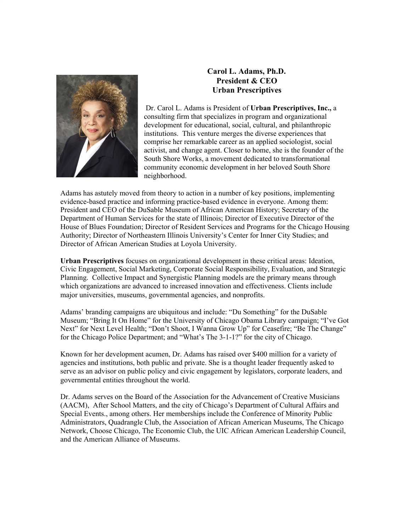

## **Carol L. Adams, Ph.D. President & CEO Urban Prescriptives**

Dr. Carol L. Adams is President of **Urban Prescriptives, Inc.,** a consulting firm that specializes in program and organizational development for educational, social, cultural, and philanthropic institutions. This venture merges the diverse experiences that comprise her remarkable career as an applied sociologist, social activist, and change agent. Closer to home, she is the founder of the South Shore Works, a movement dedicated to transformational community economic development in her beloved South Shore neighborhood.

Adams has astutely moved from theory to action in a number of key positions, implementing evidence-based practice and informing practice-based evidence in everyone. Among them: President and CEO of the DuSable Museum of African American History; Secretary of the Department of Human Services for the state of Illinois; Director of Executive Director of the House of Blues Foundation; Director of Resident Services and Programs for the Chicago Housing Authority; Director of Northeastern Illinois University's Center for Inner City Studies; and Director of African American Studies at Loyola University.

**Urban Prescriptives** focuses on organizational development in these critical areas: Ideation, Civic Engagement, Social Marketing, Corporate Social Responsibility, Evaluation, and Strategic Planning. Collective Impact and Synergistic Planning models are the primary means through which organizations are advanced to increased innovation and effectiveness. Clients include major universities, museums, governmental agencies, and nonprofits.

Adams' branding campaigns are ubiquitous and include: "Du Something" for the DuSable Museum; "Bring It On Home" for the University of Chicago Obama Library campaign; "I've Got Next" for Next Level Health; "Don't Shoot, I Wanna Grow Up" for Ceasefire; "Be The Change" for the Chicago Police Department; and "What's The 3-1-1?" for the city of Chicago.

Known for her development acumen, Dr. Adams has raised over \$400 million for a variety of agencies and institutions, both public and private. She is a thought leader frequently asked to serve as an advisor on public policy and civic engagement by legislators, corporate leaders, and governmental entities throughout the world.

Dr. Adams serves on the Board of the Association for the Advancement of Creative Musicians (AACM), After School Matters, and the city of Chicago's Department of Cultural Affairs and Special Events., among others. Her memberships include the Conference of Minority Public Administrators, Quadrangle Club, the Association of African American Museums, The Chicago Network, Choose Chicago, The Economic Club, the UIC African American Leadership Council, and the American Alliance of Museums.